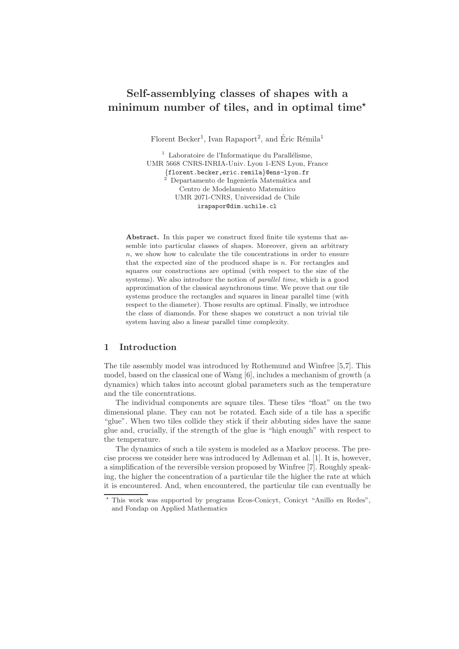# Self-assemblying classes of shapes with a minimum number of tiles, and in optimal time<sup> $\star$ </sup>

Florent Becker<sup>1</sup>, Ivan Rapaport<sup>2</sup>, and Éric Rémila<sup>1</sup>

 $1$  Laboratoire de l'Informatique du Parallélisme, UMR 5668 CNRS-INRIA-Univ. Lyon 1-ENS Lyon, France {florent.becker,eric.remila}@ens-lyon.fr Departamento de Ingeniería Matemática and Centro de Modelamiento Matemático UMR 2071-CNRS, Universidad de Chile irapapor@dim.uchile.cl

Abstract. In this paper we construct fixed finite tile systems that assemble into particular classes of shapes. Moreover, given an arbitrary n, we show how to calculate the tile concentrations in order to ensure that the expected size of the produced shape is  $n$ . For rectangles and squares our constructions are optimal (with respect to the size of the systems). We also introduce the notion of parallel time, which is a good approximation of the classical asynchronous time. We prove that our tile systems produce the rectangles and squares in linear parallel time (with respect to the diameter). Those results are optimal. Finally, we introduce the class of diamonds. For these shapes we construct a non trivial tile system having also a linear parallel time complexity.

## 1 Introduction

The tile assembly model was introduced by Rothemund and Winfree [5,7]. This model, based on the classical one of Wang [6], includes a mechanism of growth (a dynamics) which takes into account global parameters such as the temperature and the tile concentrations.

The individual components are square tiles. These tiles "float" on the two dimensional plane. They can not be rotated. Each side of a tile has a specific "glue". When two tiles collide they stick if their abbuting sides have the same glue and, crucially, if the strength of the glue is "high enough" with respect to the temperature.

The dynamics of such a tile system is modeled as a Markov process. The precise process we consider here was introduced by Adleman et al. [1]. It is, however, a simplification of the reversible version proposed by Winfree [7]. Roughly speaking, the higher the concentration of a particular tile the higher the rate at which it is encountered. And, when encountered, the particular tile can eventually be

This work was supported by programs Ecos-Conicyt, Conicyt "Anillo en Redes", and Fondap on Applied Mathematics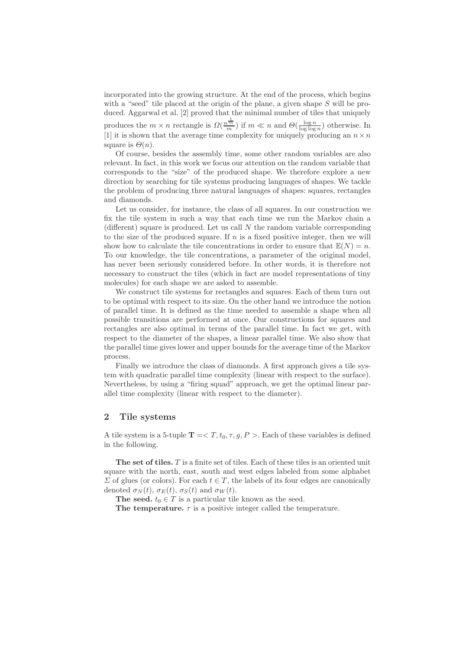incorporated into the growing structure. At the end of the process, which begins with a "seed" tile placed at the origin of the plane, a given shape  $S$  will be produced. Aggarwal et al. [2] proved that the minimal number of tiles that uniquely produces the  $m \times n$  rectangle is  $\Omega(\frac{n^{\frac{1}{m}}}{m})$  if  $m \ll n$  and  $\Theta(\frac{\log n}{\log \log n})$  otherwise. In [1] it is shown that the average time complexity for uniquely producing an  $n \times n$ square is  $\Theta(n)$ .

Of course, besides the assembly time, some other random variables are also relevant. In fact, in this work we focus our attention on the random variable that corresponds to the "size" of the produced shape. We therefore explore a new direction by searching for tile systems producing languages of shapes. We tackle the problem of producing three natural languages of shapes: squares, rectangles and diamonds.

Let us consider, for instance, the class of all squares. In our construction we fix the tile system in such a way that each time we run the Markov chain a (different) square is produced. Let us call  $N$  the random variable corresponding to the size of the produced square. If  $n$  is a fixed positive integer, then we will show how to calculate the tile concentrations in order to ensure that  $\mathbb{E}(N) = n$ . To our knowledge, the tile concentrations, a parameter of the original model, has never been seriously considered before. In other words, it is therefore not necessary to construct the tiles (which in fact are model representations of tiny molecules) for each shape we are asked to assemble.

We construct tile systems for rectangles and squares. Each of them turn out to be optimal with respect to its size. On the other hand we introduce the notion of parallel time. It is defined as the time needed to assemble a shape when all possible transitions are performed at once. Our constructions for squares and rectangles are also optimal in terms of the parallel time. In fact we get, with respect to the diameter of the shapes, a linear parallel time. We also show that the parallel time gives lower and upper bounds for the average time of the Markov process.

Finally we introduce the class of diamonds. A first approach gives a tile system with quadratic parallel time complexity (linear with respect to the surface). Nevertheless, by using a "firing squad" approach, we get the optimal linear parallel time complexity (linear with respect to the diameter).

#### 2 Tile systems

A tile system is a 5-tuple  $T = \langle T, t_0, \tau, g, P \rangle$ . Each of these variables is defined in the following.

The set of tiles. T is a finite set of tiles. Each of these tiles is an oriented unit square with the north, east, south and west edges labeled from some alphabet  $\Sigma$  of glues (or colors). For each  $t \in T$ , the labels of its four edges are canonically denoted  $\sigma_N(t)$ ,  $\sigma_E(t)$ ,  $\sigma_S(t)$  and  $\sigma_W(t)$ .

The seed.  $t_0 \in T$  is a particular tile known as the seed.

The temperature.  $\tau$  is a positive integer called the temperature.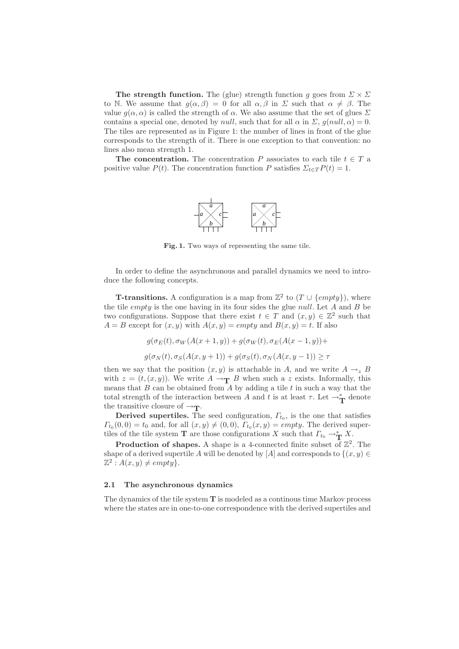**The strength function.** The (glue) strength function g goes from  $\Sigma \times \Sigma$ to N. We assume that  $g(\alpha, \beta) = 0$  for all  $\alpha, \beta$  in  $\Sigma$  such that  $\alpha \neq \beta$ . The value  $g(\alpha, \alpha)$  is called the strength of  $\alpha$ . We also assume that the set of glues  $\Sigma$ contains a special one, denoted by *null*, such that for all  $\alpha$  in  $\Sigma$ ,  $g(null, \alpha) = 0$ . The tiles are represented as in Figure 1: the number of lines in front of the glue corresponds to the strength of it. There is one exception to that convention: no lines also mean strength 1.

The concentration. The concentration P associates to each tile  $t \in T$  a positive value  $P(t)$ . The concentration function P satisfies  $\sum_{t \in T} P(t) = 1$ .



Fig. 1. Two ways of representing the same tile.

In order to define the asynchronous and parallel dynamics we need to introduce the following concepts.

**T-transitions.** A configuration is a map from  $\mathbb{Z}^2$  to  $(T \cup \{empty\})$ , where the tile *empty* is the one having in its four sides the glue *null*. Let  $A$  and  $B$  be two configurations. Suppose that there exist  $t \in T$  and  $(x, y) \in \mathbb{Z}^2$  such that  $A = B$  except for  $(x, y)$  with  $A(x, y) = empty$  and  $B(x, y) = t$ . If also

$$
g(\sigma_E(t), \sigma_W(A(x+1,y)) + g(\sigma_W(t), \sigma_E(A(x-1,y))) +
$$
  

$$
g(\sigma_N(t), \sigma_S(A(x,y+1)) + g(\sigma_S(t), \sigma_N(A(x,y-1))) \ge \tau
$$

then we say that the position  $(x, y)$  is attachable in A, and we write  $A \rightarrow_z B$ with  $z = (t, (x, y))$ . We write  $A \rightarrow_{\mathbf{T}} B$  when such a z exists. Informally, this means that  $B$  can be obtained from  $A$  by adding a tile  $t$  in such a way that the total strength of the interaction between A and t is at least  $\tau$ . Let  $\rightarrow^*_{\mathbf{T}}$  denote the transitive closure of  $\rightarrow_T$ .

**Derived supertiles.** The seed configuration,  $\Gamma_{t_0}$ , is the one that satisfies  $\Gamma_{t_0}(0,0) = t_0$  and, for all  $(x,y) \neq (0,0)$ ,  $\Gamma_{t_0}(x,y) = \epsilon m p t y$ . The derived supertiles of the tile system **T** are those configurations X such that  $\Gamma_{t_0} \to^*_{\mathbf{T}} X$ .

**Production of shapes.** A shape is a 4-connected finite subset of  $\mathbb{Z}^2$ . The shape of a derived supertile A will be denoted by [A] and corresponds to  $\{(x, y) \in$  $\mathbb{Z}^2$ :  $A(x, y) \neq empty$ .

#### 2.1 The asynchronous dynamics

The dynamics of the tile system  $T$  is modeled as a continous time Markov process where the states are in one-to-one correspondence with the derived supertiles and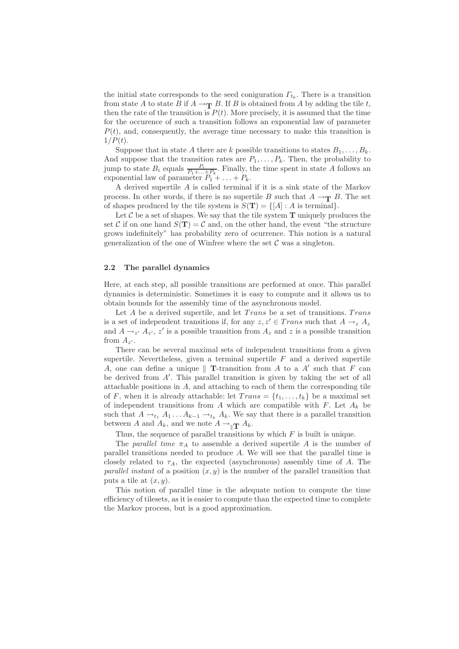the initial state corresponds to the seed coniguration  $\Gamma_{t_0}$ . There is a transition from state A to state B if  $A \to_{\mathbf{T}} B$ . If B is obtained from A by adding the tile t, then the rate of the transition is  $P(t)$ . More precisely, it is assumed that the time for the occurence of such a transition follows an exponential law of parameter  $P(t)$ , and, consequently, the average time necessary to make this transition is  $1/P(t)$ .

Suppose that in state A there are k possible transitions to states  $B_1, \ldots, B_k$ . And suppose that the transition rates are  $P_1, \ldots, P_k$ . Then, the probability to jump to state  $B_i$  equals  $\frac{P_i}{P_1 + \ldots + P_k}$ . Finally, the time spent in state A follows an exponential law of parameter  $P_1 + \ldots + P_k$ .

A derived supertile A is called terminal if it is a sink state of the Markov process. In other words, if there is no supertile B such that  $A \rightarrow_{\mathbf{T}} B$ . The set of shapes produced by the tile system is  $S(\mathbf{T}) = \{[A] : A \text{ is terminal}\}.$ 

Let  $\mathcal C$  be a set of shapes. We say that the tile system  $\mathbf T$  uniquely produces the set C if on one hand  $S(T) = C$  and, on the other hand, the event "the structure" grows indefinitely" has probability zero of ocurrence. This notion is a natural generalization of the one of Winfree where the set  $\mathcal C$  was a singleton.

## 2.2 The parallel dynamics

Here, at each step, all possible transitions are performed at once. This parallel dynamics is deterministic. Sometimes it is easy to compute and it allows us to obtain bounds for the assembly time of the asynchronous model.

Let  $A$  be a derived supertile, and let  $Trans$  be a set of transitions. Trans is a set of independent transitions if, for any  $z, z' \in Trans$  such that  $A \rightarrow z A_z$ and  $A \rightarrow_{z'} A_{z'}$ ,  $z'$  is a possible transition from  $A_z$  and  $z$  is a possible transition from  $A_{z'}$ .

There can be several maximal sets of independent transitions from a given supertile. Nevertheless, given a terminal supertile  $F$  and a derived supertile A, one can define a unique  $\parallel$  T-transition from A to a A' such that F can be derived from A′ . This parallel transition is given by taking the set of all attachable positions in  $A$ , and attaching to each of them the corresponding tile of F, when it is already attachable: let  $Trans = \{t_1, \ldots, t_k\}$  be a maximal set of independent transitions from A which are compatible with  $F$ . Let  $A_k$  be such that  $A \rightarrow_{t_1} A_1 \ldots A_{k-1} \rightarrow_{t_k} A_k$ . We say that there is a parallel transition between A and  $A_k$ , and we note  $A \to_{\parallel \mathbf{T}} A_k$ .

Thus, the sequence of parallel transitions by which  $F$  is built is unique.

The parallel time  $\pi_A$  to assemble a derived supertile A is the number of parallel transitions needed to produce A. We will see that the parallel time is closely related to  $\tau_A$ , the expected (asynchronous) assembly time of A. The parallel instant of a position  $(x, y)$  is the number of the parallel transition that puts a tile at  $(x, y)$ .

This notion of parallel time is the adequate notion to compute the time efficiency of tilesets, as it is easier to compute than the expected time to complete the Markov process, but is a good approximation.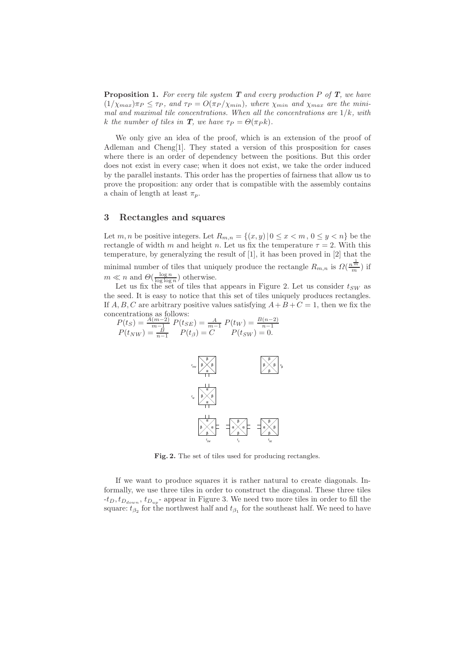**Proposition 1.** For every tile system  $T$  and every production P of  $T$ , we have  $(1/\chi_{max})\pi_P \leq \tau_P$ , and  $\tau_P = O(\pi_P/\chi_{min})$ , where  $\chi_{min}$  and  $\chi_{max}$  are the minimal and maximal tile concentrations. When all the concentrations are  $1/k$ , with k the number of tiles in **T**, we have  $\tau_P = \Theta(\pi_P k)$ .

We only give an idea of the proof, which is an extension of the proof of Adleman and Cheng[1]. They stated a version of this prosposition for cases where there is an order of dependency between the positions. But this order does not exist in every case; when it does not exist, we take the order induced by the parallel instants. This order has the properties of fairness that allow us to prove the proposition: any order that is compatible with the assembly contains a chain of length at least  $\pi_p$ .

## 3 Rectangles and squares

Let  $m, n$  be positive integers. Let  $R_{m,n} = \{(x, y) | 0 \le x < m, 0 \le y < n\}$  be the rectangle of width m and height n. Let us fix the temperature  $\tau = 2$ . With this temperature, by generalyzing the result of [1], it has been proved in [2] that the minimal number of tiles that uniquely produce the rectangle  $R_{m,n}$  is  $\Omega(\frac{n^{\frac{1}{m}}}{m})$  if  $m \ll n$  and  $\Theta(\frac{\log n}{\log \log n})$  otherwise.

Let us fix the set of tiles that appears in Figure 2. Let us consider  $t_{SW}$  as the seed. It is easy to notice that this set of tiles uniquely produces rectangles. If A, B, C are arbitrary positive values satisfying  $A + B + C = 1$ , then we fix the concentrations as follows:

$$
P(t_S) = \frac{A(m-2)}{m-1} P(t_{SE}) = \frac{A}{m-1} P(t_W) = \frac{B(n-2)}{n-1}
$$
  
 
$$
P(t_{NW}) = \frac{B}{n-1} P(t_{\beta}) = C \qquad P(t_{SW}) = 0.
$$



Fig. 2. The set of tiles used for producing rectangles.

If we want to produce squares it is rather natural to create diagonals. Informally, we use three tiles in order to construct the diagonal. These three tiles  $-t_D, t_{D_{down}}, t_{D_{up}}$  appear in Figure 3. We need two more tiles in order to fill the square:  $t_{\beta_2}$  for the northwest half and  $t_{\beta_1}$  for the southeast half. We need to have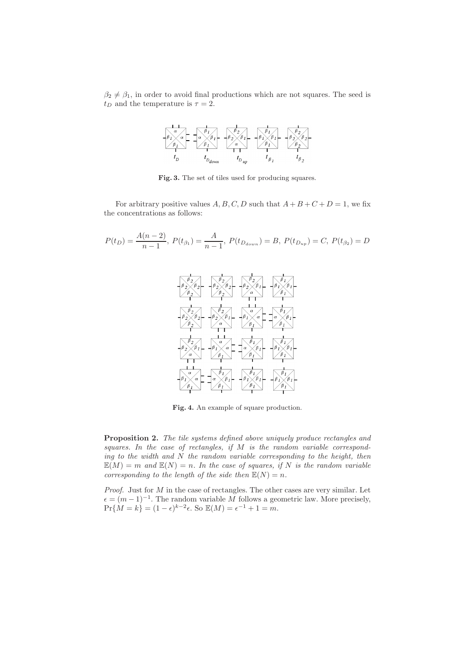$\beta_2 \neq \beta_1$ , in order to avoid final productions which are not squares. The seed is  $t_D$  and the temperature is  $\tau = 2$ .



Fig. 3. The set of tiles used for producing squares.

For arbitrary positive values  $A, B, C, D$  such that  $A + B + C + D = 1$ , we fix the concentrations as follows:

$$
P(t_D) = \frac{A(n-2)}{n-1}, \ P(t_{\beta_1}) = \frac{A}{n-1}, \ P(t_{D_{down}}) = B, \ P(t_{D_{up}}) = C, \ P(t_{\beta_2}) = D
$$



Fig. 4. An example of square production.

Proposition 2. The tile systems defined above uniquely produce rectangles and squares. In the case of rectangles, if  $M$  is the random variable corresponding to the width and  $N$  the random variable corresponding to the height, then  $\mathbb{E}(M) = m$  and  $\mathbb{E}(N) = n$ . In the case of squares, if N is the random variable corresponding to the length of the side then  $\mathbb{E}(N) = n$ .

*Proof.* Just for  $M$  in the case of rectangles. The other cases are very similar. Let  $\epsilon = (m-1)^{-1}$ . The random variable M follows a geometric law. More precisely,  $Pr{M = k} = (1 - \epsilon)^{k-2}\epsilon$ . So  $\mathbb{E}(M) = \epsilon^{-1} + 1 = m$ .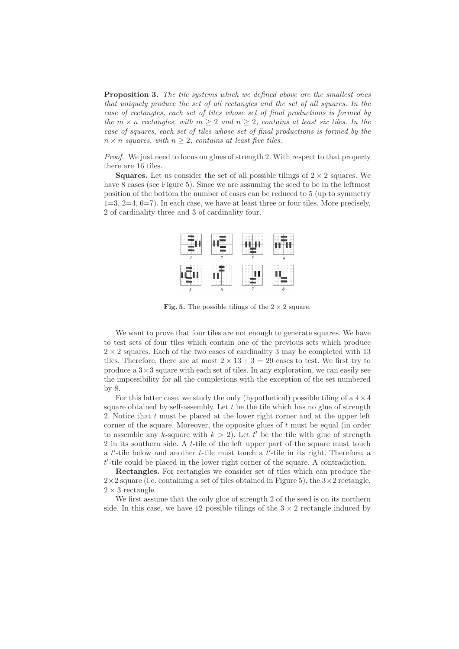**Proposition 3.** The tile systems which we defined above are the smallest ones that uniquely produce the set of all rectangles and the set of all squares. In the case of rectangles, each set of tiles whose set of final productions is formed by the  $m \times n$  rectangles, with  $m \geq 2$  and  $n \geq 2$ , contains at least six tiles. In the case of squares, each set of tiles whose set of final productions is formed by the  $n \times n$  squares, with  $n \geq 2$ , contains at least five tiles.

Proof. We just need to focus on glues of strength 2. With respect to that property there are 16 tiles.

**Squares.** Let us consider the set of all possible tilings of  $2 \times 2$  squares. We have 8 cases (see Figure 5). Since we are assuming the seed to be in the leftmost position of the bottom the number of cases can be reduced to 5 (up to symmetry  $1=3, 2=4, 6=7$ . In each case, we have at least three or four tiles. More precisely, 2 of cardinality three and 3 of cardinality four.



Fig. 5. The possible tilings of the  $2 \times 2$  square.

We want to prove that four tiles are not enough to generate squares. We have to test sets of four tiles which contain one of the previous sets which produce  $2 \times 2$  squares. Each of the two cases of cardinality 3 may be completed with 13 tiles. Therefore, there are at most  $2 \times 13 + 3 = 29$  cases to test. We first try to produce a  $3 \times 3$  square with each set of tiles. In any exploration, we can easily see the impossibility for all the completions with the exception of the set numbered by 8.

For this latter case, we study the only (hypothetical) possible tiling of a  $4 \times 4$ square obtained by self-assembly. Let  $t$  be the tile which has no glue of strength 2. Notice that  $t$  must be placed at the lower right corner and at the upper left corner of the square. Moreover, the opposite glues of  $t$  must be equal (in order to assemble any k-square with  $k > 2$ ). Let t' be the tile with glue of strength 2 in its southern side. A t-tile of the left upper part of the square must touch a  $t'$ -tile below and another  $t$ -tile must touch a  $t'$ -tile in its right. Therefore, a t ′ -tile could be placed in the lower right corner of the square. A contradiction.

Rectangles. For rectangles we consider set of tiles which can produce the  $2\times2$  square (i.e. containing a set of tiles obtained in Figure 5), the  $3\times2$  rectangle,  $2 \times 3$  rectangle.

We first assume that the only glue of strength 2 of the seed is on its northern side. In this case, we have 12 possible tilings of the  $3 \times 2$  rectangle induced by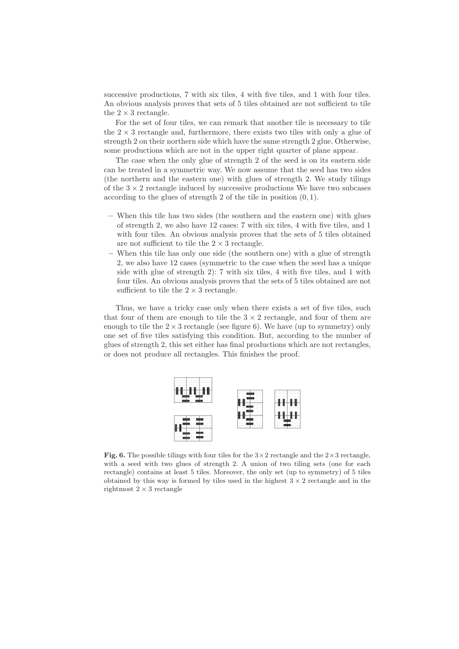successive productions, 7 with six tiles, 4 with five tiles, and 1 with four tiles. An obvious analysis proves that sets of 5 tiles obtained are not sufficient to tile the  $2 \times 3$  rectangle.

For the set of four tiles, we can remark that another tile is necessary to tile the  $2 \times 3$  rectangle and, furthermore, there exists two tiles with only a glue of strength 2 on their northern side which have the same strength 2 glue. Otherwise, some productions which are not in the upper right quarter of plane appear.

The case when the only glue of strength 2 of the seed is on its eastern side can be treated in a symmetric way. We now assume that the seed has two sides (the northern and the eastern one) with glues of strength 2. We study tilings of the  $3 \times 2$  rectangle induced by successive productions We have two subcases according to the glues of strength 2 of the tile in position  $(0, 1)$ .

- When this tile has two sides (the southern and the eastern one) with glues of strength 2, we also have 12 cases: 7 with six tiles, 4 with five tiles, and 1 with four tiles. An obvious analysis proves that the sets of 5 tiles obtained are not sufficient to tile the  $2 \times 3$  rectangle.
- When this tile has only one side (the southern one) with a glue of strength 2, we also have 12 cases (symmetric to the case when the seed has a unique side with glue of strength 2): 7 with six tiles, 4 with five tiles, and 1 with four tiles. An obvious analysis proves that the sets of 5 tiles obtained are not sufficient to tile the  $2 \times 3$  rectangle.

Thus, we have a tricky case only when there exists a set of five tiles, such that four of them are enough to tile the  $3 \times 2$  rectangle, and four of them are enough to tile the  $2 \times 3$  rectangle (see figure 6). We have (up to symmetry) only one set of five tiles satisfying this condition. But, according to the number of glues of strength 2, this set either has final productions which are not rectangles, or does not produce all rectangles. This finishes the proof.



**Fig. 6.** The possible tilings with four tiles for the  $3 \times 2$  rectangle and the  $2 \times 3$  rectangle, with a seed with two glues of strength 2. A union of two tiling sets (one for each rectangle) contains at least 5 tiles. Moreover, the only set (up to symmetry) of 5 tiles obtained by this way is formed by tiles used in the highest  $3 \times 2$  rectangle and in the rightmost  $2 \times 3$  rectangle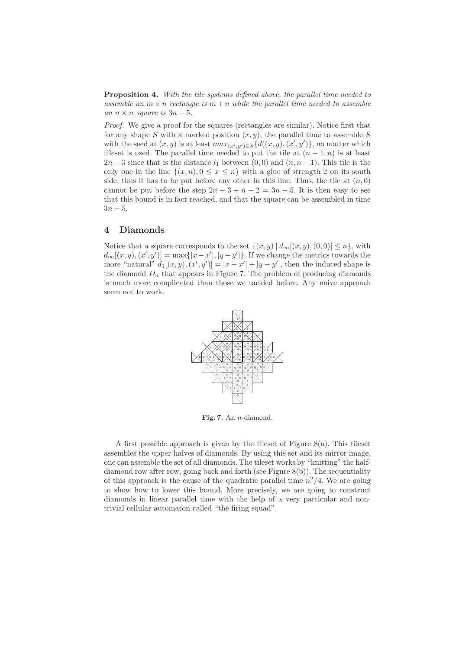**Proposition 4.** With the tile systems defined above, the parallel time needed to assemble an  $m \times n$  rectangle is  $m + n$  while the parallel time needed to assemble an  $n \times n$  square is  $3n-5$ .

Proof. We give a proof for the squares (rectangles are similar). Notice first that for any shape S with a marked position  $(x, y)$ , the parallel time to assemble S with the seed at  $(x, y)$  is at least  $max_{(x', y') \in S} \{d((x, y), (x', y'))\}$ , no matter which tileset is used. The parallel time needed to put the tile at  $(n-1,n)$  is at least  $2n-3$  since that is the distance  $l_1$  between  $(0,0)$  and  $(n, n-1)$ . This tile is the only one in the line  $\{(x, n), 0 \le x \le n\}$  with a glue of strength 2 on its south side, thus it has to be put before any other in this line. Thus, the tile at  $(n, 0)$ cannot be put before the step  $2n-3+n-2=3n-5$ . It is then easy to see that this bound is in fact reached, and that the square can be assembled in time  $3n - 5$ .

### 4 Diamonds

Notice that a square corresponds to the set  $\{(x, y) | d_{\infty}[(x, y), (0, 0)] \leq n\}$ , with  $d_{\infty}[(x, y), (x', y')] = \max\{|x - x'|, |y - y'|\}.$  If we change the metrics towards the more "natural"  $d_1[(x, y), (x', y')] = |x - x'| + |y - y'|$ , then the induced shape is the diamond  $D_n$  that appears in Figure 7. The problem of producing diamonds is much more complicated than those we tackled before. Any naive approach seem not to work.



Fig. 7. An n-diamond.

A first possible approach is given by the tileset of Figure  $8(a)$ . This tileset assembles the upper halves of diamonds. By using this set and its mirror image, one can assemble the set of all diamonds. The tileset works by "knitting" the halfdiamond row after row, going back and forth (see Figure 8(b)). The sequentiality of this approach is the cause of the quadratic parallel time  $n^2/4$ . We are going to show how to lower this bound. More precisely, we are going to construct diamonds in linear parallel time with the help of a very particular and nontrivial cellular automaton called "the firing squad".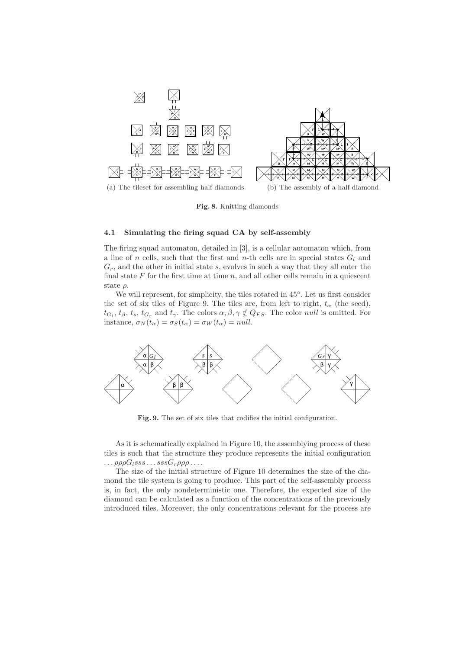

Fig. 8. Knitting diamonds

#### 4.1 Simulating the firing squad CA by self-assembly

The firing squad automaton, detailed in [3], is a cellular automaton which, from a line of n cells, such that the first and n-th cells are in special states  $G_l$  and  $G_r$ , and the other in initial state s, evolves in such a way that they all enter the final state  $F$  for the first time at time  $n$ , and all other cells remain in a quiescent state  $\rho$ .

We will represent, for simplicity, the tiles rotated in 45◦ . Let us first consider the set of six tiles of Figure 9. The tiles are, from left to right,  $t_{\alpha}$  (the seed),  $t_{G_l}, t_{\beta}, t_s, t_{G_r}$  and  $t_{\gamma}$ . The colors  $\alpha, \beta, \gamma \notin Q_{FS}$ . The color *null* is omitted. For instance,  $\sigma_N(t_\alpha) = \sigma_S(t_\alpha) = \sigma_W(t_\alpha) = null$ .



Fig. 9. The set of six tiles that codifies the initial configuration.

As it is schematically explained in Figure 10, the assemblying process of these tiles is such that the structure they produce represents the initial configuration  $\ldots \rho \rho \rho G_l s s s \ldots s s s G_r \rho \rho \rho \ldots$ 

The size of the initial structure of Figure 10 determines the size of the diamond the tile system is going to produce. This part of the self-assembly process is, in fact, the only nondeterministic one. Therefore, the expected size of the diamond can be calculated as a function of the concentrations of the previously introduced tiles. Moreover, the only concentrations relevant for the process are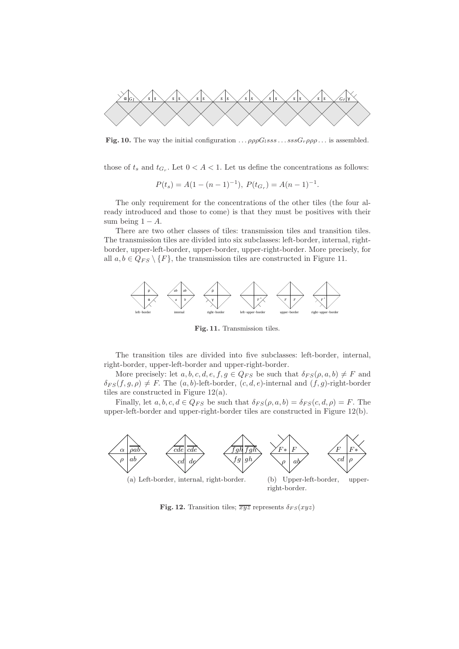

Fig. 10. The way the initial configuration  $\ldots \rho \rho \rho G_l s s s \ldots s s s G_r \rho \rho \rho \ldots$  is assembled.

those of  $t_s$  and  $t_{G_r}$ . Let  $0 < A < 1$ . Let us define the concentrations as follows:

$$
P(t_s) = A(1 - (n - 1)^{-1}), \ P(t_{G_r}) = A(n - 1)^{-1}.
$$

The only requirement for the concentrations of the other tiles (the four already introduced and those to come) is that they must be positives with their sum being  $1 - A$ .

There are two other classes of tiles: transmission tiles and transition tiles. The transmission tiles are divided into six subclasses: left-border, internal, rightborder, upper-left-border, upper-border, upper-right-border. More precisely, for all  $a, b \in Q_{FS} \setminus \{F\}$ , the transmission tiles are constructed in Figure 11.



Fig. 11. Transmission tiles.

The transition tiles are divided into five subclasses: left-border, internal, right-border, upper-left-border and upper-right-border.

More precisely: let  $a, b, c, d, e, f, g \in Q_{FS}$  be such that  $\delta_{FS}(\rho, a, b) \neq F$  and  $\delta_{FS}(f, g, \rho) \neq F$ . The  $(a, b)$ -left-border,  $(c, d, e)$ -internal and  $(f, g)$ -right-border tiles are constructed in Figure 12(a).

Finally, let  $a, b, c, d \in Q_{FS}$  be such that  $\delta_{FS}(\rho, a, b) = \delta_{FS}(c, d, \rho) = F$ . The upper-left-border and upper-right-border tiles are constructed in Figure 12(b).



(a) Left-border, internal, right-border.

(b) Upper-left-border, upperright-border.

Fig. 12. Transition tiles;  $\overline{xyz}$  represents  $\delta_{FS}(xyz)$